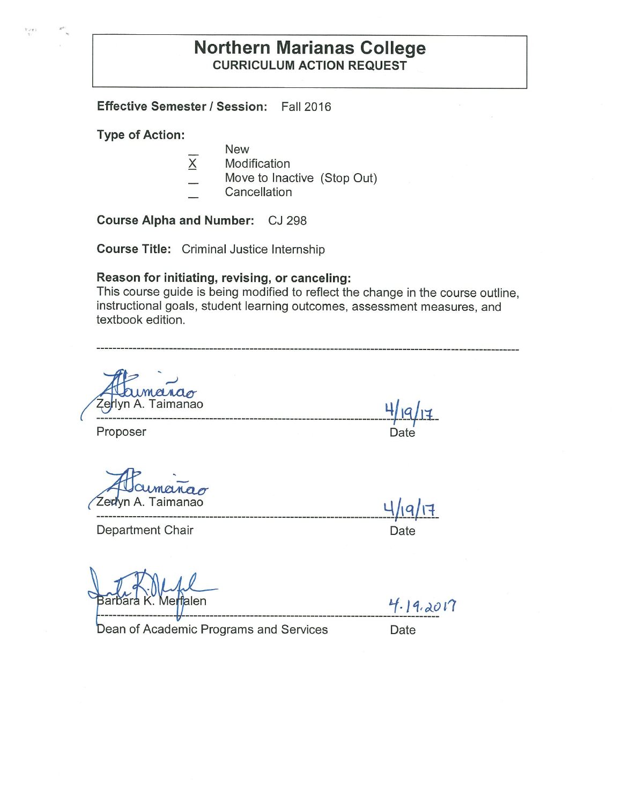# **Northern Marianas College CURRICULUM ACTION REQUEST**

**Effective Semester/ Session:** Fall 2016

**Type of Action:** 

**t** • ,,. **t** 

- **New**
- $X$  Modification
- Move to Inactive (Stop Out)
- Cancellation

**Course Alpha and Number:** CJ 298

**Course Title:** Criminal Justice Internship

#### **Reason for initiating, revising, or canceling:**

This course guide is being modified to reflect the change in the course outline, instructional goals, student learning outcomes, assessment measures, and textbook edition.

e lyn A. Taimanao **4/1Q** /

-------------------------------------------------------------------------1---~11 \_ Proposer Date

~-------------------·----------------- Ypq / r3r\_

Department Chair **Department** Chair

Me**rf**alen

 $4.19.2017$ 

Dean of Academic Programs and Services Date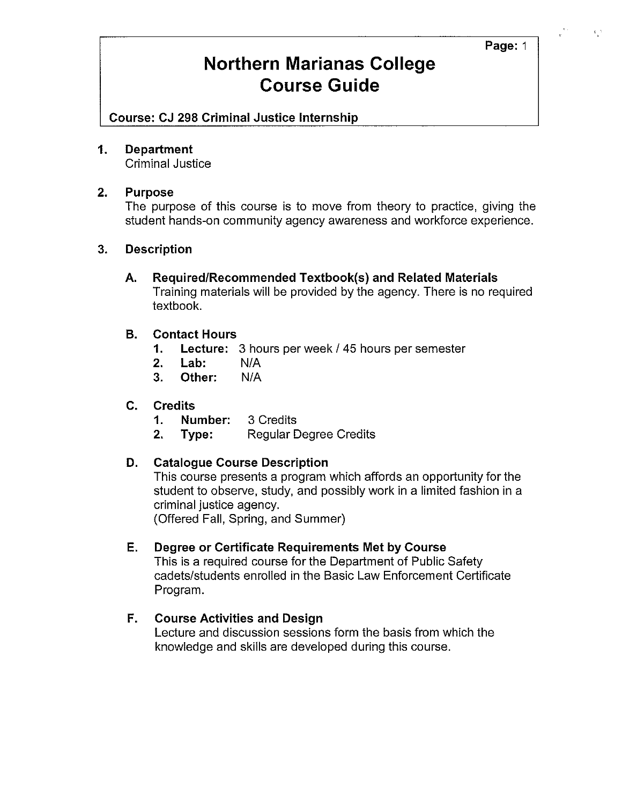### **Page:** 1

# **Northern Marianas College Course Guide**

**Course: CJ 298 Criminal Justice Internship** 

### **1. Department**

Criminal Justice

### **2. Purpose**

The purpose of this course is to move from theory to practice, giving the student hands-on community agency awareness and workforce experience.

## **3. Description**

**A. Required/Recommended Textbook(s) and Related Materials**  Training materials will be provided by the agency. There is no required textbook.

## **B. Contact Hours**

- **1. Lecture:** 3 hours per week / 45 hours per semester
- **2. Lab:** N/A
- **3. Other:** N/A

### **C. Credits**

- **1. Number:** 3 Credits
- **2. Type:** Regular Degree Credits

### **D. Catalogue Course Description**

This course presents a program which affords an opportunity for the student to observe, study, and possibly work in a limited fashion in a criminal justice agency.

(Offered Fall, Spring, and Summer)

### **E. Degree or Certificate Requirements Met by Course**

This is a required course for the Department of Public Safety cadets/students enrolled in the Basic Law Enforcement Certificate Program.

## **F. Course Activities and Design**

Lecture and discussion sessions form the basis from which the knowledge and skills are developed during this course.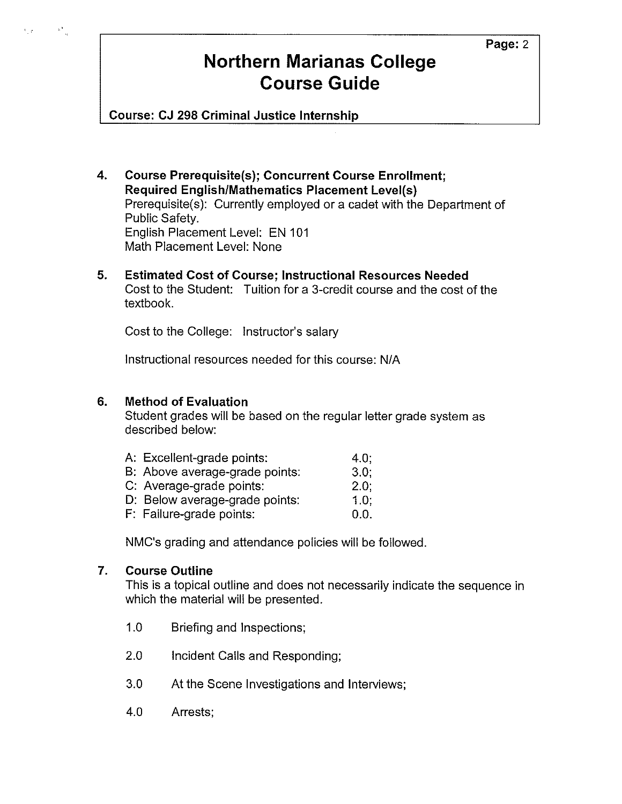# **Northern Marianas College Course Guide**

**Course: CJ 298 Criminal Justice Internship** 

- **4. Course Prerequisite(s); Concurrent Course Enrollment; Required English/Mathematics Placement Level(s)**  Prerequisite(s): Currently employed or a cadet with the Department of Public Safety. English Placement Level: EN 101 Math Placement Level: None
- **5. Estimated Cost of Course; Instructional Resources Needed**  Cost to the Student: Tuition for a 3-credit course and the cost of the textbook.

Cost to the College: Instructor's salary

Instructional resources needed for this course: N/A

# **6. Method of Evaluation**

 $\frac{1}{2}$ 

 $\mathcal{N}_\perp$  and  $\mathcal{N}_\perp$ 

Student grades will be based on the regular letter grade system as described below:

| A: Excellent-grade points:     | 4.0:    |
|--------------------------------|---------|
| B: Above average-grade points: | 3.0:    |
| C: Average-grade points:       | $2.0$ ; |
| D: Below average-grade points: | 1.0:    |
| F: Failure-grade points:       | 0.0.    |

NMC's grading and attendance policies will be followed.

# **7. Course Outline**

This is a topical outline and does not necessarily indicate the sequence in which the material will be presented.

- 1.0 Briefing and Inspections;
- 2.0 Incident Calls and Responding;
- 3.0 At the Scene Investigations and Interviews;
- 4.0 Arrests;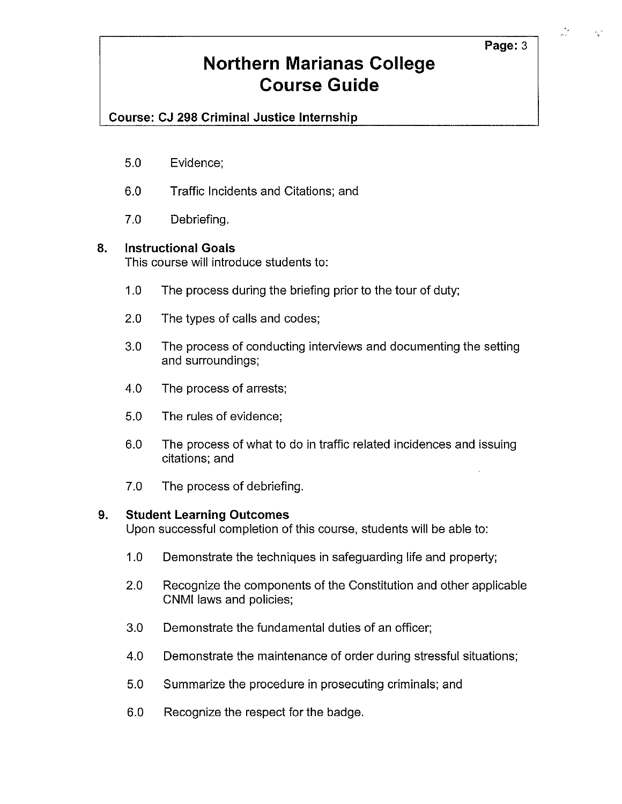### **Page:3**

# **Northern Marianas College Course Guide**

# **Course: CJ 298 Criminal Justice Internship**

- 5.0 Evidence;
- 6.0 Traffic Incidents and Citations; and
- 7.0 Debriefing.

## **8. Instructional Goals**

This course will introduce students to:

- 1.0 The process during the briefing prior to the tour of duty;
- 2.0 The types of calls and codes;
- 3.0 The process of conducting interviews and documenting the setting and surroundings;
- 4.0 The process of arrests;
- 5.0 The rules of evidence;
- 6.0 The process of what to do in traffic related incidences and issuing citations; and
- 7.0 The process of debriefing.

## **9. Student Learning Outcomes**

Upon successful completion of this course, students will be able to:

- 1.0 Demonstrate the techniques in safeguarding life and property;
- 2.0 Recognize the components of the Constitution and other applicable CNMI laws and policies;
- 3.0 Demonstrate the fundamental duties of an officer;
- 4.0 Demonstrate the maintenance of order during stressful situations;
- 5.0 Summarize the procedure in prosecuting criminals; and
- 6.0 Recognize the respect for the badge.

 $\epsilon_{\rm L}^{-1}$ 

 $\frac{1}{\sigma}$  .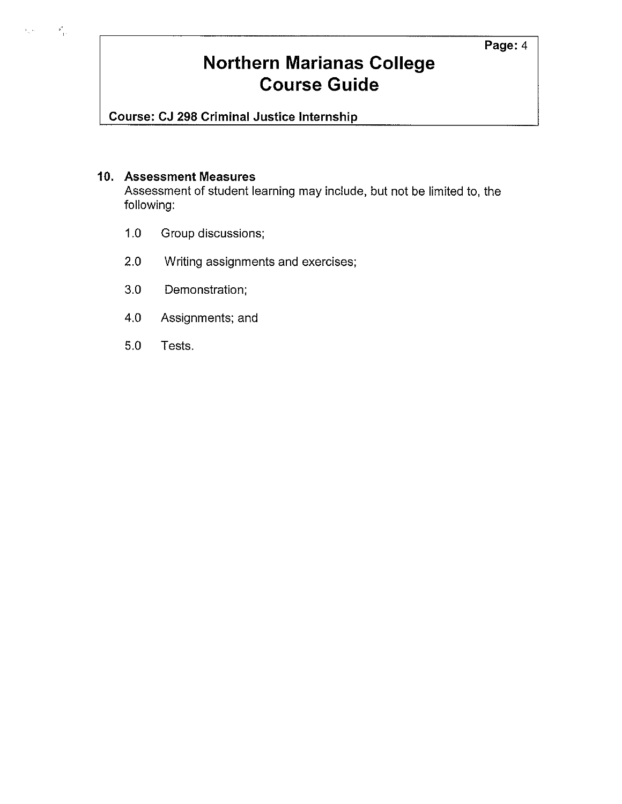### **Page:4**

# **Northern Marianas College Course Guide**

**Course: CJ 298 Criminal Justice Internship** 

### **10. Assessment Measures**

 $\mathbf{z}_{\mathbf{w}}(i) = \mathbf{z}^{\mathbf{0}}_{\mathbf{q}(i)}$ 

Assessment of student learning may include, but not be limited to, the following:

- 1.0 Group discussions;
- 2.0 Writing assignments and exercises;
- 3.0 Demonstration;
- 4.0 Assignments; and
- 5.0 Tests.